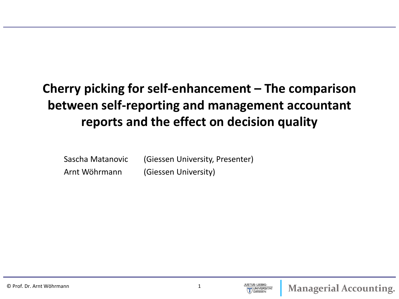## **Cherry picking for self-enhancement – The comparison between self-reporting and management accountant reports and the effect on decision quality**

| Sascha Matanovic | (Giessen University, Presenter) |
|------------------|---------------------------------|
| Arnt Wöhrmann    | (Giessen University)            |

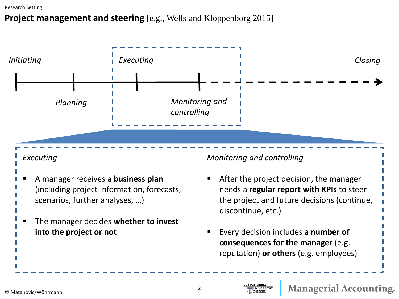#### **Project management and steering** [e.g., Wells and Kloppenborg 2015]



JUSTUS-LIEBIG-

**UNIVERSITAT**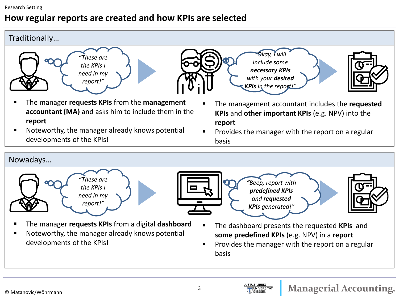#### **How regular reports are created and how KPIs are selected**

#### Traditionally…







- The manager **requests KPIs** from the **management accountant (MA)** and asks him to include them in the **report**
- **Noteworthy, the manager already knows potential** developments of the KPIs!
- The management accountant includes the **requested KPIs** and **other important KPIs** (e.g. NPV) into the **report**
- Provides the manager with the report on a regular basis

#### Nowadays…







*"Beep, report with predefined KPIs and requested KPIs generated!"*

*"Okay, I will include some necessary KPIs with your desired* 



- The manager **requests KPIs** from a digital **dashboard**
- Noteworthy, the manager already knows potential developments of the KPIs!
- The dashboard presents the requested **KPIs** and **some predefined KPIs** (e.g. NPV) in a **report**
- Provides the manager with the report on a regular basis

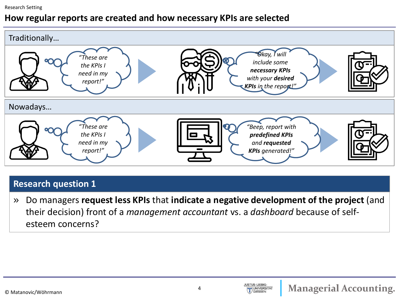#### Research Setting

#### **How regular reports are created and how necessary KPIs are selected**



#### **Research question 1**

» Do managers **request less KPIs** that **indicate a negative development of the project** (and their decision) front of a *management accountant* vs. a *dashboard* because of selfesteem concerns?

JUSTUS-LIEBIG-

**JUNIVERSITAT**  $\overline{\phantom{a}}$  GIESSEN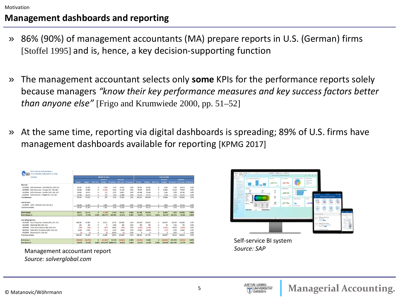#### **Management dashboards and reporting**

- » 86% (90%) of management accountants (MA) prepare reports in U.S. (German) firms [Stoffel 1995] and is, hence, a key decision-supporting function
- » The management accountant selects only **some** KPIs for the performance reports solely because managers *"know their key performance measures and key success factors better than anyone else"* [Frigo and Krumwiede 2000, pp. 51–52]
- » At the same time, reporting via digital dashboards is spreading; 89% of U.S. firms have management dashboards available for reporting [KPMG 2017]

| <b>Profit and Loss Variance Report</b><br>0.7360<br>For the Months Ending March 31, 2006 |           |               |                   |               |                                  |           |       |               |               |                   |               |                    |                                  |       |
|------------------------------------------------------------------------------------------|-----------|---------------|-------------------|---------------|----------------------------------|-----------|-------|---------------|---------------|-------------------|---------------|--------------------|----------------------------------|-------|
| <b>US Demo</b>                                                                           |           | Month-To-Date |                   |               |                                  |           |       |               | Year-To-Date  |                   |               |                    |                                  |       |
|                                                                                          |           |               |                   | Variance      |                                  | Variance  |       |               |               |                   | Variance      |                    | Variance                         |       |
|                                                                                          | Actual    | <b>Budget</b> | <b>Prior Year</b> | <b>Budget</b> | % Variance Prior Year % Variance |           |       | <b>Actual</b> | <b>Budget</b> | <b>Prior Year</b> | <b>Budget</b> |                    | % Variance Prior Year % Variance |       |
| Revenue                                                                                  |           |               |                   |               |                                  |           |       |               |               |                   |               |                    |                                  |       |
| 41100000<br>Sales Revenues - Domestic (HO, USA, GA)                                      | 34.325    | 33.295        | $\circ$           | 1.030         | 3.1%                             | 34,325    | 0.0%  | <b>86.475</b> | 83.881        | $\circ$           | 2,594         | 3.1%               | 86,475                           | 0.0%  |
| Sales Revenues - Foreign (HO, USA, GA)<br>41200000                                       | 21.164    | 22,608        | $\circ$           | (1.444)       | $-6.4%$                          | 21.164    | 0.0%  | 79.557        | 68.533        | $\circ$           | 11.024        | 16.1%              | 79,557                           | 0.0%  |
| Sales Revenues - Services (HO, USA, GA)<br>41300000                                      | 16,901    | 16.912        | $\circ$           | (11)          | $-0.1%$                          | 16,901    | 0.0%  | 80.760        | 78.396        | $\circ$           | 2,364         | 3.0%               | 80,760                           | 0.0%  |
| 41400000<br>Sales Reveues - Freight (HO, USA, GA)                                        | 25.044    | 24.322        | $\circ$           | 722           | 3.0%                             | 25,044    | 0.0%  | 82.239        | 79.135        | $\circ$           | 3,104         | 3.9%               | 82,239                           | 0.0%  |
| <b>Total Revenue</b>                                                                     | 97,434    | 97,137        | $^{\circ}$        | 297           | 0.3%                             | 97,434    | 0.0%  | 329,031       | 309.945       | $\circ$           | 19,086        | 6.2%               | 329,031                          | 0.0%  |
| Cost of Sales                                                                            |           |               |                   |               |                                  |           |       |               |               |                   |               |                    |                                  |       |
| 51100000 COGS - Domestic (HO, USA, GA)                                                   | 33,258    | 31.567        | $\Omega$          | 1,691         | 5.4%                             | 33,258    | 0.0%  | 67.133        | 66.111        | $\Omega$          | 1,022         | 1.5%               | 67,133                           | 0.0%  |
| <b>Total Cost of Sales</b>                                                               | 33.258    | 31.567        | $\circ$           | 1.691         | 5.4%                             | 33,258    | 0.0%  | 67.133        | 66,111        | $\circ$           | 1,022         | 1.5%               | 67,133                           | 0.0%  |
| Profit Margin                                                                            | 64.176    | 65,570        | $\mathbf{0}$      | (1, 394)      | $-2.13%$                         | 64,176    | 0.00% | 261.898       | 243.834       | $\mathbf{0}$      | 18,064        | 7.41%              | 261,898                          | 0.00% |
| Profit Margin %                                                                          | 65.87%    | 67.50%        | 0.00%             | 469.07%       | $-694.90%$                       | 65.87%    | 0.00% | 79.60%        | 78.67%        | 0.00%             | 94.65%        | 120.31%            | 79.60%                           | 0.00% |
| <b>Operating Expenses</b>                                                                |           |               |                   |               |                                  |           |       |               |               |                   |               |                    |                                  |       |
| Payroll Expense - Salaries (HO, USA, GA)<br>61210000                                     | 100,000   | 87,189        | $\circ$           | 12,811        | 14.7%                            | 100,000   | 0.0%  | 325,000       | 158,053       | $\circ$           | 166,947       | 105.6%             | 325,000                          | 0.0%  |
| 63210000<br>Electricity (HO, USA, GA)                                                    | 250       | 250           | $\circ$           | $\circ$       | 0.0%                             | 250       | 0.0%  | 750           | 700           | $\circ$           | 50            | 7.1%               | 750                              | 0.0%  |
| 63900000<br>Other Administrative (HO, USA, GA)                                           | (900)     | (593)         | $\circ$           | (307)         | 51.8%                            | (900)     | 0.0%  | (4,800)       | (2.999)       | $\circ$           | (1, 801)      | 60.0%              | (4,800)                          | 0.0%  |
| State Sales Tax Expense (HO, USA, GA)<br>66000000                                        | 4,688     | 5.000         | $\Omega$          | (312)         | $-6.2%$                          | 4,688     | 0.0%  | 15,861        | 16,000        | $\Omega$          | (139)         | $-0.9%$            | 15,861                           | 0.0%  |
| 81600000<br>Rounding (HO, USA, GA)                                                       | (0)       | (0)           | $\Omega$          | [0]           | 42.4%                            | (0)       | 0.0%  | Ō             | $\Omega$      | $\Omega$          | $\Omega$      | 0.0%               | $\Omega$                         | 0.0%  |
| <b>Total Cost of Sales</b>                                                               | 104.038   | 91.846        | $\circ$           | 12.192        | 13.3%                            | 104.038   | 0.0%  | 336.811       | 171.754       | $\theta$          | 165.057       | 96.1%              | 336,811                          | 0.0%  |
| <b>Net Income</b>                                                                        | (39, 863) | (26, 276)     | $\theta$          | (13, 587)     | 51.71%                           | (39, 863) | 0.00% | (74, 913)     | 72,080        | $\Omega$          | (146.993)     | $-203.93%$         | (74, 913)                        | 0.00% |
| Net Income %                                                                             | $-40.91%$ | -27.05%       | 0.00%             |               | -4571.04% 16898.17%              | $-40.91%$ | 0.00% | $-22.77%$     | 23, 26%       | 0.00%             |               | -770.16% -3311.70% | $-22.77%$                        | 0.00% |

Management accountant report *Source: SAP Source: solverglobal.com*



**Managerial Accounting.** 

Self-service BI system

**JUSTUS-LIEBIG** 

**UNIVERSITA**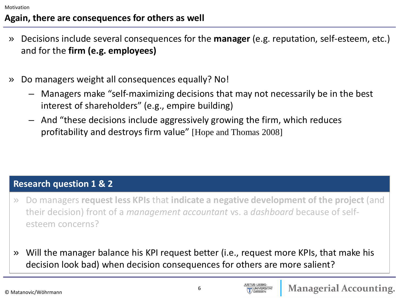#### **Again, there are consequences for others as well**

- » Decisions include several consequences for the **manager** (e.g. reputation, self-esteem, etc.) and for the **firm (e.g. employees)**
- » Do managers weight all consequences equally? No!
	- Managers make "self-maximizing decisions that may not necessarily be in the best interest of shareholders" (e.g., empire building)
	- And "these decisions include aggressively growing the firm, which reduces profitability and destroys firm value" [Hope and Thomas 2008]

#### **Research question 1 & 2**

- » Do managers **request less KPIs** that **indicate a negative development of the project** (and their decision) front of a *management accountant* vs. a *dashboard* because of selfesteem concerns?
- » Will the manager balance his KPI request better (i.e., request more KPIs, that make his decision look bad) when decision consequences for others are more salient?

**JNIVERSITAT**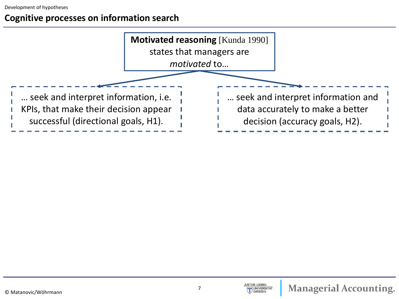#### **Cognitive processes on information search**

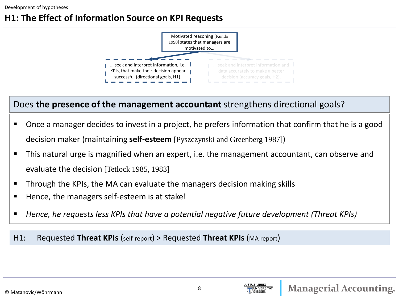#### **H1: The Effect of Information Source on KPI Requests**



#### Does **the presence of the management accountant** strengthens directional goals?

- Once a manager decides to invest in a project, he prefers information that confirm that he is a good decision maker (maintaining **self-esteem** [Pyszczynski and Greenberg 1987])
- This natural urge is magnified when an expert, i.e. the management accountant, can observe and evaluate the decision [Tetlock 1985, 1983]
- Through the KPIs, the MA can evaluate the managers decision making skills
- Hence, the managers self-esteem is at stake!
- *Hence, he requests less KPIs that have a potential negative future development (Threat KPIs)*

#### H1: Requested **Threat KPIs** (self-report) > Requested **Threat KPIs** (MA report)

**UNIVERSITA**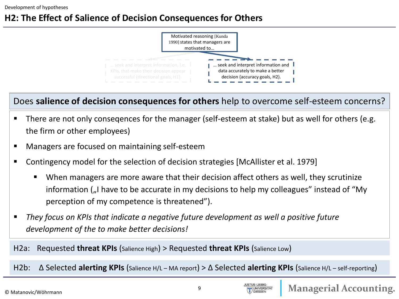### **H2: The Effect of Salience of Decision Consequences for Others**



Does **salience of decision consequences for others** help to overcome self-esteem concerns?

- There are not only consegences for the manager (self-esteem at stake) but as well for others (e.g. the firm or other employees)
- **Managers are focused on maintaining self-esteem**
- Contingency model for the selection of decision strategies [McAllister et al. 1979]
	- When managers are more aware that their decision affect others as well, they scrutinize information ("I have to be accurate in my decisions to help my colleagues" instead of "My perception of my competence is threatened").
- *They focus on KPIs that indicate a negative future development as well a positive future development of the to make better decisions!*

H2a: Requested **threat KPIs** (Salience High) > Requested **threat KPIs** (Salience Low)

H2b: ∆ Selected **alerting KPIs** (Salience H/L – MA report) > ∆ Selected **alerting KPIs** (Salience H/L – self-reporting)

**UNIVERSITA**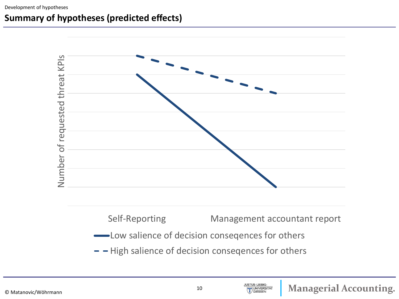Development of hypotheses

#### **Summary of hypotheses (predicted effects)**



JUSTUS-LIEBIG-

**JUNIVERSITAT** GIESSEN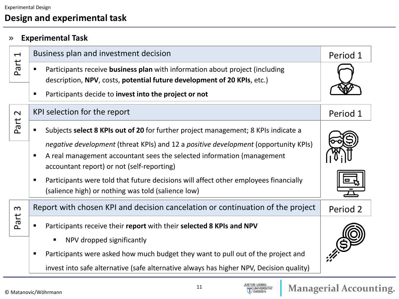#### **Design and experimental task**

#### » **Experimental Task**

| $\overline{\phantom{0}}$ | Business plan and investment decision                                                                                                                                                                                                                                                                                                                                                                                                                     | Period 1 |
|--------------------------|-----------------------------------------------------------------------------------------------------------------------------------------------------------------------------------------------------------------------------------------------------------------------------------------------------------------------------------------------------------------------------------------------------------------------------------------------------------|----------|
| Part                     | Participants receive business plan with information about project (including<br>п<br>description, NPV, costs, potential future development of 20 KPIs, etc.)<br>Participants decide to invest into the project or not<br>п                                                                                                                                                                                                                                |          |
| $\sim$                   | KPI selection for the report                                                                                                                                                                                                                                                                                                                                                                                                                              | Period 1 |
| Part                     | Subjects select 8 KPIs out of 20 for further project management; 8 KPIs indicate a<br>negative development (threat KPIs) and 12 a positive development (opportunity KPIs)<br>A real management accountant sees the selected information (management<br>п<br>accountant report) or not (self-reporting)<br>Participants were told that future decisions will affect other employees financially<br>п<br>(salience high) or nothing was told (salience low) |          |
| $\boldsymbol{\omega}$    | Report with chosen KPI and decision cancelation or continuation of the project                                                                                                                                                                                                                                                                                                                                                                            | Period 2 |
| Part                     | Participants receive their report with their selected 8 KPIs and NPV<br>NPV dropped significantly<br>п<br>Participants were asked how much budget they want to pull out of the project and<br>п<br>invest into safe alternative (safe alternative always has higher NPV, Decision quality)                                                                                                                                                                |          |

© Matanovic/Wöhrmann

JUSTUS-LIEBIG-<br>UNIVERSITAT<br>UGIESSEN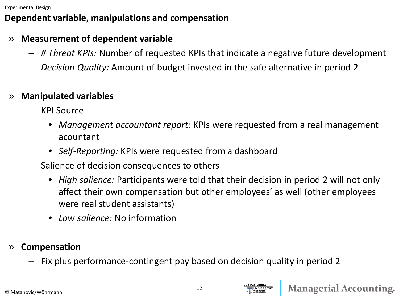#### **Dependent variable, manipulations and compensation**

#### » **Measurement of dependent variable**

- *# Threat KPIs:* Number of requested KPIs that indicate a negative future development
- *Decision Quality:* Amount of budget invested in the safe alternative in period 2

#### » **Manipulated variables**

- KPI Source
	- *Management accountant report:* KPIs were requested from a real management acountant
	- *Self-Reporting:* KPIs were requested from a dashboard
- Salience of decision consequences to others
	- *High salience:* Participants were told that their decision in period 2 will not only affect their own compensation but other employees' as well (other employees were real student assistants)
	- *Low salience:* No information
- » **Compensation**
	- Fix plus performance-contingent pay based on decision quality in period 2

© Matanovic/Wöhrmann

**UNIVERSITAT**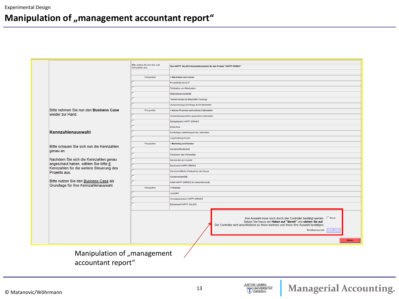|                                                                                  | Bitte wählen Sie hier Ihre acht<br>Kennzahlen aus: | Das HAPPY SALADS Kennzahlensystem für das Projekt "HAPPY DRINKS"                                                                                                                                                              |
|----------------------------------------------------------------------------------|----------------------------------------------------|-------------------------------------------------------------------------------------------------------------------------------------------------------------------------------------------------------------------------------|
|                                                                                  |                                                    |                                                                                                                                                                                                                               |
|                                                                                  | Perspektive                                        | + Wachstum und Lernen                                                                                                                                                                                                         |
|                                                                                  |                                                    | Produktivität durch IT                                                                                                                                                                                                        |
|                                                                                  |                                                    | Fluktuation von Mitarbeitern                                                                                                                                                                                                  |
|                                                                                  |                                                    | Mitarbeiterproduktivität                                                                                                                                                                                                      |
|                                                                                  |                                                    | Teilnahmerate bei Mitarbeiter-Trainings                                                                                                                                                                                       |
|                                                                                  |                                                    | Verbesserungsvorschläge durch Mitarbeiter                                                                                                                                                                                     |
| Bitte nehmen Sie nun den Business Case                                           | Perspektive                                        | + Interne Prozesse und externe Lieferanten                                                                                                                                                                                    |
| wieder zur Hand.                                                                 |                                                    | Verhandlungsposition gegenüber Lieferanten                                                                                                                                                                                    |
|                                                                                  |                                                    | Einkaufspreis HAPPY DRINKS                                                                                                                                                                                                    |
|                                                                                  |                                                    | Know-how                                                                                                                                                                                                                      |
| Kennzahlenauswahl                                                                |                                                    | Kurzfristige Lieferfähigkeit der Lieferanten                                                                                                                                                                                  |
|                                                                                  |                                                    | Lagerhaltungskosten                                                                                                                                                                                                           |
| Bitte schauen Sie sich nun die Kennzahlen                                        | Perspektive                                        | • Marketing und Kunden                                                                                                                                                                                                        |
| genau an.                                                                        |                                                    | Kundenzufriedenheit                                                                                                                                                                                                           |
|                                                                                  |                                                    | Wachstum des Werbeetats                                                                                                                                                                                                       |
| Nachdem Sie sich die Kennzahlen genau                                            |                                                    | Neukunden pro Quartal                                                                                                                                                                                                         |
| angeschaut haben, wählen Sie bitte 8<br>Kennzahlen für die weitere Steuerung des |                                                    | Marktanteil HAPPY DRINKS                                                                                                                                                                                                      |
| Projekts aus.                                                                    |                                                    | Durchschnittliche Wartezeit an der Kasse                                                                                                                                                                                      |
|                                                                                  |                                                    | Kundenrentabilität                                                                                                                                                                                                            |
| Bitte nutzen Sie den Business Case als<br>Grundlage für Ihre Kennzahlenauswahl.  |                                                    | Anteil HAPPY DRINKS am Gesamtumsatz                                                                                                                                                                                           |
|                                                                                  | Perspektive                                        | + Finanzen                                                                                                                                                                                                                    |
|                                                                                  |                                                    | Liquidität                                                                                                                                                                                                                    |
|                                                                                  |                                                    | Umsatzwachstum HAPPY DRINKS                                                                                                                                                                                                   |
|                                                                                  |                                                    | Börsenwert HAPPY SALADS                                                                                                                                                                                                       |
|                                                                                  |                                                    |                                                                                                                                                                                                                               |
|                                                                                  |                                                    | Ihre Auswahl muss noch durch den Controller bestätigt werden. F Bereit<br>Setzen Sie hierzu ein Haken auf "Bereit" und stehen Sie auf.<br>Der Controller wird anschließend zu Ihnen kommen und Ihnen Ihre Auswahl bestätigen. |
|                                                                                  |                                                    | Bestätigungscode                                                                                                                                                                                                              |
|                                                                                  |                                                    | Weiter                                                                                                                                                                                                                        |
|                                                                                  |                                                    |                                                                                                                                                                                                                               |
| Manipulation of "management                                                      |                                                    |                                                                                                                                                                                                                               |

accountant report"

JUSTUS-LIEBIG-<br>UNIVERSITAT<br>I GIESSEN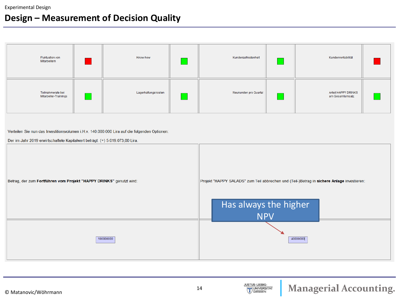#### **Design – Measurement of Decision Quality**



Verteilen Sie nun das Investitionsvolumen i.H.v. 140.000.000 Lira auf die folgenden Optionen:

Der im Jahr 2019 erwirtschaftete Kapitalwert beträgt: (+) 5.019.073,00 Lira.



JUSTUS-LIEBIG-

UNIVERSITAT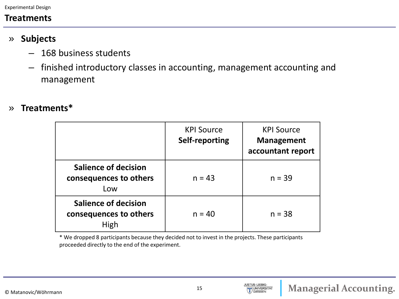Experimental Design

#### **Treatments**

- » **Subjects**
	- 168 business students
	- finished introductory classes in accounting, management accounting and management
- » **Treatments\***

|                                                               | <b>KPI Source</b><br>Self-reporting | <b>KPI Source</b><br><b>Management</b><br>accountant report |
|---------------------------------------------------------------|-------------------------------------|-------------------------------------------------------------|
| <b>Salience of decision</b><br>consequences to others<br>Low  | $n = 43$                            | $n = 39$                                                    |
| <b>Salience of decision</b><br>consequences to others<br>High | $n = 40$                            | $n = 38$                                                    |

\* We dropped 8 participants because they decided not to invest in the projects. These participants proceeded directly to the end of the experiment.

JUSTUS-LIEBIG-

UNIVERSITAT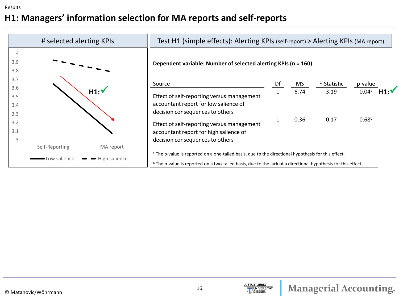### **H1: Managers' information selection for MA reports and self-reports**

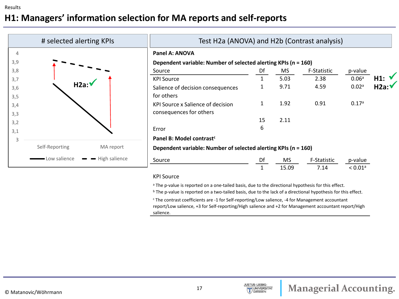### **H1: Managers' information selection for MA reports and self-reports**

|                | # selected alerting KPIs |                             |                                                                | Test H2a (ANOVA) and H2b (Contrast analysis) |       |             |                   |       |  |  |  |  |
|----------------|--------------------------|-----------------------------|----------------------------------------------------------------|----------------------------------------------|-------|-------------|-------------------|-------|--|--|--|--|
| $\overline{4}$ |                          |                             | Panel A: ANOVA                                                 |                                              |       |             |                   |       |  |  |  |  |
| 3,9            |                          |                             | Dependent variable: Number of selected alerting KPIs (n = 160) |                                              |       |             |                   |       |  |  |  |  |
| 3,8            |                          |                             | Source                                                         | Df                                           | MS    | F-Statistic | p-value           |       |  |  |  |  |
| 3,7            |                          |                             | <b>KPI Source</b>                                              | 1                                            | 5.03  | 2.38        | 0.06 <sup>a</sup> | H1: V |  |  |  |  |
| 3,6            | H2a:V                    |                             | Salience of decision consequences                              |                                              | 9.71  | 4.59        | 0.02a             | H2a:V |  |  |  |  |
| 3,5            |                          |                             | for others                                                     |                                              |       |             |                   |       |  |  |  |  |
| 3,4            |                          |                             | KPI Source x Salience of decision                              | $\mathbf{1}$                                 | 1.92  | 0.91        | 0.17a             |       |  |  |  |  |
| 3,3            |                          |                             | consequences for others                                        |                                              |       |             |                   |       |  |  |  |  |
| 3,2            |                          |                             |                                                                | 15                                           | 2.11  |             |                   |       |  |  |  |  |
| 3,1            |                          |                             | Error                                                          | 6                                            |       |             |                   |       |  |  |  |  |
| $\overline{3}$ |                          |                             | Panel B: Model contrast <sup>c</sup>                           |                                              |       |             |                   |       |  |  |  |  |
|                | Self-Reporting           | MA report                   | Dependent variable: Number of selected alerting KPIs (n = 160) |                                              |       |             |                   |       |  |  |  |  |
|                | - Low salience           | $\rightarrow$ High salience | Source                                                         | Df                                           | MS.   | F-Statistic | p-value           |       |  |  |  |  |
|                |                          |                             |                                                                |                                              | 15.09 | 7.14        | < 0.01a           |       |  |  |  |  |

#### KPI Source

<sup>a</sup> The p-value is reported on a one-tailed basis, due to the directional hypothesis for this effect.

<sup>b</sup> The p-value is reported on a two-tailed basis, due to the lack of a directional hypothesis for this effect.

<sup>c</sup> The contrast coefficients are -1 for Self-reporting/Low salience, -4 for Management accountant report/Low salience, +3 for Self-reporting/High salience and +2 for Management accountant report/High salience.

JUSTUS-LIEBIG-

UNIVERSITAT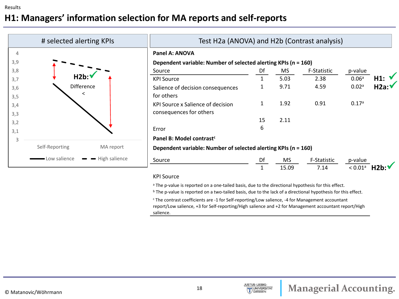### **H1: Managers' information selection for MA reports and self-reports**

|                | # selected alerting KPIs |               | Test H2a (ANOVA) and H2b (Contrast analysis)                   |              |           |                    |                       |       |  |  |  |
|----------------|--------------------------|---------------|----------------------------------------------------------------|--------------|-----------|--------------------|-----------------------|-------|--|--|--|
| $\overline{4}$ |                          |               | Panel A: ANOVA                                                 |              |           |                    |                       |       |  |  |  |
| 3,9            |                          |               | Dependent variable: Number of selected alerting KPIs (n = 160) |              |           |                    |                       |       |  |  |  |
| 3,8            |                          |               | Source                                                         | Df           | MS.       | <b>F-Statistic</b> | p-value               |       |  |  |  |
| 3,7            | $H2b$ :                  |               | <b>KPI Source</b>                                              | $\mathbf{1}$ | 5.03      | 2.38               | 0.06 <sup>a</sup>     | H1: V |  |  |  |
| 3,6            | Difference               |               | Salience of decision consequences                              |              | 9.71      | 4.59               | 0.02a                 | H2a:V |  |  |  |
| 3,5            | <                        |               | for others                                                     |              |           |                    |                       |       |  |  |  |
| 3,4            |                          |               | KPI Source x Salience of decision                              | 1            | 1.92      | 0.91               | 0.17a                 |       |  |  |  |
| 3,3            |                          |               | consequences for others                                        |              |           |                    |                       |       |  |  |  |
| 3,2            |                          |               |                                                                | 15           | 2.11      |                    |                       |       |  |  |  |
| 3,1            |                          |               | Error                                                          | 6            |           |                    |                       |       |  |  |  |
| 3              |                          |               | Panel B: Model contrast <sup>c</sup>                           |              |           |                    |                       |       |  |  |  |
|                | Self-Reporting           | MA report     | Dependent variable: Number of selected alerting KPIs (n = 160) |              |           |                    |                       |       |  |  |  |
|                | - Low salience           | High salience | Source                                                         | Df           | <b>MS</b> | F-Statistic        | p-value               |       |  |  |  |
|                |                          |               |                                                                |              | 15.09     | 7.14               | $< 0.01$ <sup>a</sup> |       |  |  |  |

#### KPI Source

<sup>a</sup> The p-value is reported on a one-tailed basis, due to the directional hypothesis for this effect.

<sup>b</sup> The p-value is reported on a two-tailed basis, due to the lack of a directional hypothesis for this effect.

<sup>c</sup> The contrast coefficients are -1 for Self-reporting/Low salience, -4 for Management accountant report/Low salience, +3 for Self-reporting/High salience and +2 for Management accountant report/High salience.

JUSTUS-LIEBIG-

UNIVERSITAT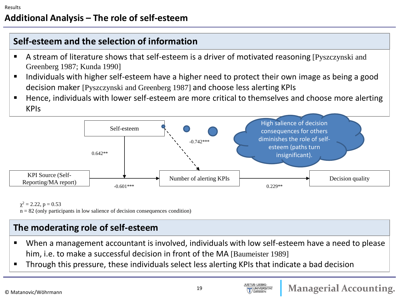#### **Self-esteem and the selection of information**

- A stream of literature shows that self-esteem is a driver of motivated reasoning [Pyszczynski and Greenberg 1987; Kunda 1990]
- **If all individuals with higher self-esteem have a higher need to protect their own image as being a good in the state of the state of the state of the state and find and state and find a** decision maker [Pyszczynski and Greenberg 1987] and choose less alerting KPIs
- Hence, individuals with lower self-esteem are more critical to themselves and choose more alerting KPIs



 $\gamma^2 = 2.22$ ,  $p = 0.53$ 

 $n = 82$  (only participants in low salience of decision consequences condition)

#### **The moderating role of self-esteem**

- When a management accountant is involved, individuals with low self-esteem have a need to please him, i.e. to make a successful decision in front of the MA [Baumeister 1989]
- Through this pressure, these individuals select less alerting KPIs that indicate a bad decision

**JUSTUS-LIEBIG-**

**UNIVERSITAT**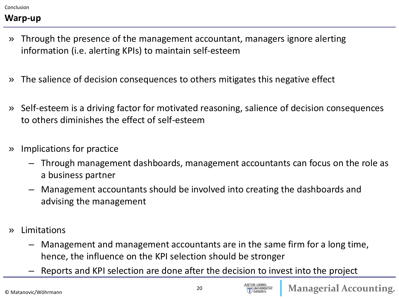Conclusion

#### **Warp-up**

- » Through the presence of the management accountant, managers ignore alerting information (i.e. alerting KPIs) to maintain self-esteem
- » The salience of decision consequences to others mitigates this negative effect
- » Self-esteem is a driving factor for motivated reasoning, salience of decision consequences to others diminishes the effect of self-esteem
- » Implications for practice
	- Through management dashboards, management accountants can focus on the role as a business partner
	- Management accountants should be involved into creating the dashboards and advising the management
- » Limitations
	- Management and management accountants are in the same firm for a long time, hence, the influence on the KPI selection should be stronger
	- Reports and KPI selection are done after the decision to invest into the project

**UNIVERSITAT**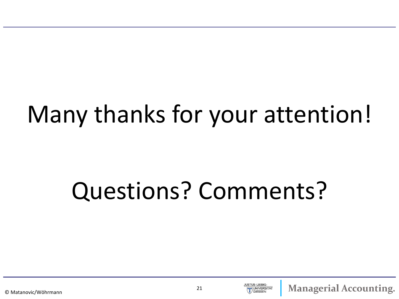## Many thanks for your attention!

# Questions? Comments?



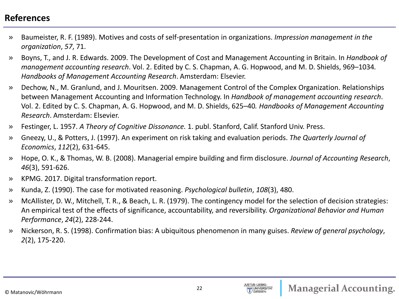#### **References**

- » Baumeister, R. F. (1989). Motives and costs of self-presentation in organizations. *Impression management in the organization*, *57*, 71.
- » Boyns, T., and J. R. Edwards. 2009. The Development of Cost and Management Accounting in Britain. In *Handbook of management accounting research*. Vol. 2. Edited by C. S. Chapman, A. G. Hopwood, and M. D. Shields, 969–1034*. Handbooks of Management Accounting Research*. Amsterdam: Elsevier.
- » Dechow, N., M. Granlund, and J. Mouritsen. 2009. Management Control of the Complex Organization. Relationships between Management Accounting and Information Technology. In *Handbook of management accounting research*. Vol. 2. Edited by C. S. Chapman, A. G. Hopwood, and M. D. Shields, 625–40*. Handbooks of Management Accounting Research*. Amsterdam: Elsevier.
- » Festinger, L. 1957. *A Theory of Cognitive Dissonance.* 1. publ. Stanford, Calif. Stanford Univ. Press.
- » Gneezy, U., & Potters, J. (1997). An experiment on risk taking and evaluation periods. *The Quarterly Journal of Economics*, *112*(2), 631-645.
- » Hope, O. K., & Thomas, W. B. (2008). Managerial empire building and firm disclosure. *Journal of Accounting Research*, *46*(3), 591-626.
- » KPMG. 2017. Digital transformation report.
- » Kunda, Z. (1990). The case for motivated reasoning. *Psychological bulletin*, *108*(3), 480.
- » McAllister, D. W., Mitchell, T. R., & Beach, L. R. (1979). The contingency model for the selection of decision strategies: An empirical test of the effects of significance, accountability, and reversibility. *Organizational Behavior and Human Performance*, *24*(2), 228-244.
- » Nickerson, R. S. (1998). Confirmation bias: A ubiquitous phenomenon in many guises. *Review of general psychology*, *2*(2), 175-220.

© Matanovic/Wöhrmann

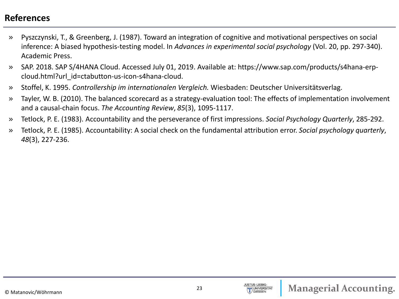#### **References**

- » Pyszczynski, T., & Greenberg, J. (1987). Toward an integration of cognitive and motivational perspectives on social inference: A biased hypothesis-testing model. In *Advances in experimental social psychology* (Vol. 20, pp. 297-340). Academic Press.
- » SAP. 2018. SAP S/4HANA Cloud. Accessed July 01, 2019. Available at: https://www.sap.com/products/s4hana-erpcloud.html?url\_id=ctabutton-us-icon-s4hana-cloud.
- » Stoffel, K. 1995. *Controllership im internationalen Vergleich.* Wiesbaden: Deutscher Universitätsverlag.
- » Tayler, W. B. (2010). The balanced scorecard as a strategy-evaluation tool: The effects of implementation involvement and a causal-chain focus. *The Accounting Review*, *85*(3), 1095-1117.
- » Tetlock, P. E. (1983). Accountability and the perseverance of first impressions. *Social Psychology Quarterly*, 285-292.
- » Tetlock, P. E. (1985). Accountability: A social check on the fundamental attribution error. *Social psychology quarterly*, *48*(3), 227-236.

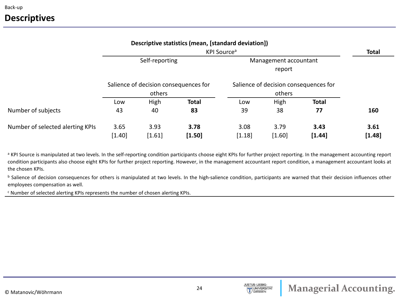#### **Descriptives**

|                                  |                                         |                                       | Descriptive statistics (mean, [standard deviation]) |                                       |        |              |        |  |  |
|----------------------------------|-----------------------------------------|---------------------------------------|-----------------------------------------------------|---------------------------------------|--------|--------------|--------|--|--|
|                                  | KPI Source <sup>a</sup>                 |                                       |                                                     |                                       |        |              |        |  |  |
|                                  | Self-reporting<br>Management accountant |                                       |                                                     |                                       |        |              |        |  |  |
|                                  |                                         |                                       |                                                     |                                       |        |              |        |  |  |
|                                  |                                         | Salience of decision consequences for |                                                     | Salience of decision consequences for |        |              |        |  |  |
|                                  | others                                  |                                       |                                                     |                                       |        |              |        |  |  |
|                                  | High<br>Low                             |                                       | <b>Total</b>                                        | Low                                   | High   | <b>Total</b> |        |  |  |
| Number of subjects               | 43                                      | 40                                    | 83                                                  | 39                                    | 38     | 77           | 160    |  |  |
| Number of selected alerting KPIs | 3.65                                    | 3.93                                  | 3.78                                                | 3.08                                  | 3.79   | 3.43         | 3.61   |  |  |
|                                  | [1.40]                                  | [1.61]                                | [1.50]                                              | [1.18]                                | [1.60] | [1.44]       | [1.48] |  |  |

<sup>a</sup> KPI Source is manipulated at two levels. In the self-reporting condition participants choose eight KPIs for further project reporting. In the management accounting report condition participants also choose eight KPIs for further project reporting. However, in the management accountant report condition, a management accountant looks at the chosen KPIs.

**b** Salience of decision consequences for others is manipulated at two levels. In the high-salience condition, participants are warned that their decision influences other employees compensation as well.

<sup>c</sup> Number of selected alerting KPIs represents the number of chosen alerting KPIs.

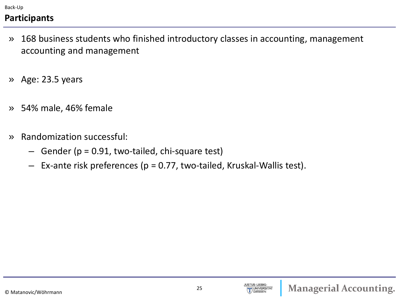Back-Up

## **Participants**

- » 168 business students who finished introductory classes in accounting, management accounting and management
- » Age: 23.5 years
- » 54% male, 46% female
- » Randomization successful:
	- $-$  Gender ( $p = 0.91$ , two-tailed, chi-square test)
	- $-$  Ex-ante risk preferences ( $p = 0.77$ , two-tailed, Kruskal-Wallis test).